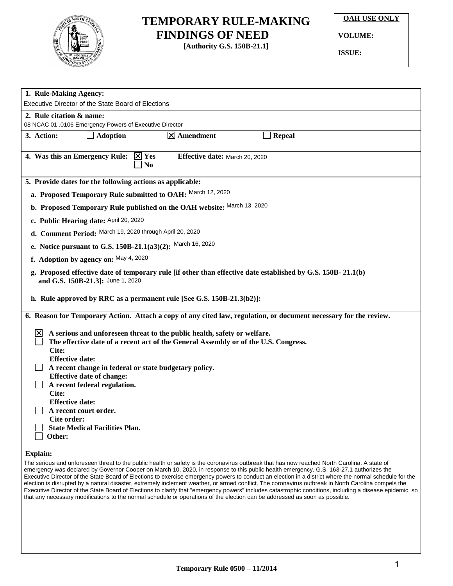

## **TEMPORARY RULE-MAKING FINDINGS OF NEED**

**[Authority G.S. 150B-21.1]**

**OAH USE ONLY**

**VOLUME:**

**ISSUE:**

| 1. Rule-Making Agency:                                                                                                                           |                                                                                     |                |                                |  |                                                                                                                                                                                                                                                                                                                                                                                                                                                                                                                                                                                                                                                                                                                                                                                                                                                                                                    |
|--------------------------------------------------------------------------------------------------------------------------------------------------|-------------------------------------------------------------------------------------|----------------|--------------------------------|--|----------------------------------------------------------------------------------------------------------------------------------------------------------------------------------------------------------------------------------------------------------------------------------------------------------------------------------------------------------------------------------------------------------------------------------------------------------------------------------------------------------------------------------------------------------------------------------------------------------------------------------------------------------------------------------------------------------------------------------------------------------------------------------------------------------------------------------------------------------------------------------------------------|
|                                                                                                                                                  | Executive Director of the State Board of Elections                                  |                |                                |  |                                                                                                                                                                                                                                                                                                                                                                                                                                                                                                                                                                                                                                                                                                                                                                                                                                                                                                    |
| 2. Rule citation & name:                                                                                                                         | 08 NCAC 01 .0106 Emergency Powers of Executive Director                             |                |                                |  |                                                                                                                                                                                                                                                                                                                                                                                                                                                                                                                                                                                                                                                                                                                                                                                                                                                                                                    |
| 3. Action:                                                                                                                                       | $\Box$ Adoption                                                                     |                | $\vert X \vert$ Amendment      |  | <b>Repeal</b>                                                                                                                                                                                                                                                                                                                                                                                                                                                                                                                                                                                                                                                                                                                                                                                                                                                                                      |
|                                                                                                                                                  |                                                                                     |                |                                |  |                                                                                                                                                                                                                                                                                                                                                                                                                                                                                                                                                                                                                                                                                                                                                                                                                                                                                                    |
|                                                                                                                                                  | 4. Was this an Emergency Rule: $\boxtimes$ Yes                                      | N <sub>0</sub> | Effective date: March 20, 2020 |  |                                                                                                                                                                                                                                                                                                                                                                                                                                                                                                                                                                                                                                                                                                                                                                                                                                                                                                    |
|                                                                                                                                                  | 5. Provide dates for the following actions as applicable:                           |                |                                |  |                                                                                                                                                                                                                                                                                                                                                                                                                                                                                                                                                                                                                                                                                                                                                                                                                                                                                                    |
|                                                                                                                                                  | a. Proposed Temporary Rule submitted to OAH: March 12, 2020                         |                |                                |  |                                                                                                                                                                                                                                                                                                                                                                                                                                                                                                                                                                                                                                                                                                                                                                                                                                                                                                    |
|                                                                                                                                                  | b. Proposed Temporary Rule published on the OAH website: March 13, 2020             |                |                                |  |                                                                                                                                                                                                                                                                                                                                                                                                                                                                                                                                                                                                                                                                                                                                                                                                                                                                                                    |
|                                                                                                                                                  | c. Public Hearing date: April 20, 2020                                              |                |                                |  |                                                                                                                                                                                                                                                                                                                                                                                                                                                                                                                                                                                                                                                                                                                                                                                                                                                                                                    |
|                                                                                                                                                  | d. Comment Period: March 19, 2020 through April 20, 2020                            |                |                                |  |                                                                                                                                                                                                                                                                                                                                                                                                                                                                                                                                                                                                                                                                                                                                                                                                                                                                                                    |
|                                                                                                                                                  | e. Notice pursuant to G.S. 150B-21.1(a3)(2): March 16, 2020                         |                |                                |  |                                                                                                                                                                                                                                                                                                                                                                                                                                                                                                                                                                                                                                                                                                                                                                                                                                                                                                    |
|                                                                                                                                                  | f. Adoption by agency on: May 4, 2020                                               |                |                                |  |                                                                                                                                                                                                                                                                                                                                                                                                                                                                                                                                                                                                                                                                                                                                                                                                                                                                                                    |
| g. Proposed effective date of temporary rule [if other than effective date established by G.S. 150B-21.1(b)<br>and G.S. 150B-21.3]: June 1, 2020 |                                                                                     |                |                                |  |                                                                                                                                                                                                                                                                                                                                                                                                                                                                                                                                                                                                                                                                                                                                                                                                                                                                                                    |
|                                                                                                                                                  |                                                                                     |                |                                |  |                                                                                                                                                                                                                                                                                                                                                                                                                                                                                                                                                                                                                                                                                                                                                                                                                                                                                                    |
|                                                                                                                                                  | h. Rule approved by RRC as a permanent rule [See G.S. 150B-21.3(b2)]:               |                |                                |  |                                                                                                                                                                                                                                                                                                                                                                                                                                                                                                                                                                                                                                                                                                                                                                                                                                                                                                    |
|                                                                                                                                                  |                                                                                     |                |                                |  | 6. Reason for Temporary Action. Attach a copy of any cited law, regulation, or document necessary for the review.                                                                                                                                                                                                                                                                                                                                                                                                                                                                                                                                                                                                                                                                                                                                                                                  |
| ΙX                                                                                                                                               | A serious and unforeseen threat to the public health, safety or welfare.            |                |                                |  |                                                                                                                                                                                                                                                                                                                                                                                                                                                                                                                                                                                                                                                                                                                                                                                                                                                                                                    |
|                                                                                                                                                  | The effective date of a recent act of the General Assembly or of the U.S. Congress. |                |                                |  |                                                                                                                                                                                                                                                                                                                                                                                                                                                                                                                                                                                                                                                                                                                                                                                                                                                                                                    |
| Cite:                                                                                                                                            |                                                                                     |                |                                |  |                                                                                                                                                                                                                                                                                                                                                                                                                                                                                                                                                                                                                                                                                                                                                                                                                                                                                                    |
| <b>Effective date:</b>                                                                                                                           |                                                                                     |                |                                |  |                                                                                                                                                                                                                                                                                                                                                                                                                                                                                                                                                                                                                                                                                                                                                                                                                                                                                                    |
| A recent change in federal or state budgetary policy.<br><b>Effective date of change:</b>                                                        |                                                                                     |                |                                |  |                                                                                                                                                                                                                                                                                                                                                                                                                                                                                                                                                                                                                                                                                                                                                                                                                                                                                                    |
|                                                                                                                                                  | A recent federal regulation.                                                        |                |                                |  |                                                                                                                                                                                                                                                                                                                                                                                                                                                                                                                                                                                                                                                                                                                                                                                                                                                                                                    |
| Cite:                                                                                                                                            |                                                                                     |                |                                |  |                                                                                                                                                                                                                                                                                                                                                                                                                                                                                                                                                                                                                                                                                                                                                                                                                                                                                                    |
| <b>Effective date:</b>                                                                                                                           |                                                                                     |                |                                |  |                                                                                                                                                                                                                                                                                                                                                                                                                                                                                                                                                                                                                                                                                                                                                                                                                                                                                                    |
| Cite order:                                                                                                                                      | A recent court order.                                                               |                |                                |  |                                                                                                                                                                                                                                                                                                                                                                                                                                                                                                                                                                                                                                                                                                                                                                                                                                                                                                    |
|                                                                                                                                                  | <b>State Medical Facilities Plan.</b>                                               |                |                                |  |                                                                                                                                                                                                                                                                                                                                                                                                                                                                                                                                                                                                                                                                                                                                                                                                                                                                                                    |
| Other:                                                                                                                                           |                                                                                     |                |                                |  |                                                                                                                                                                                                                                                                                                                                                                                                                                                                                                                                                                                                                                                                                                                                                                                                                                                                                                    |
| <b>Explain:</b>                                                                                                                                  |                                                                                     |                |                                |  |                                                                                                                                                                                                                                                                                                                                                                                                                                                                                                                                                                                                                                                                                                                                                                                                                                                                                                    |
|                                                                                                                                                  |                                                                                     |                |                                |  | The serious and unforeseen threat to the public health or safety is the coronavirus outbreak that has now reached North Carolina. A state of<br>emergency was declared by Governor Cooper on March 10, 2020, in response to this public health emergency. G.S. 163-27.1 authorizes the<br>Executive Director of the State Board of Elections to exercise emergency powers to conduct an election in a district where the normal schedule for the<br>election is disrupted by a natural disaster, extremely inclement weather, or armed conflict. The coronavirus outbreak in North Carolina compels the<br>Executive Director of the State Board of Elections to clarify that "emergency powers" includes catastrophic conditions, including a disease epidemic, so<br>that any necessary modifications to the normal schedule or operations of the election can be addressed as soon as possible. |
|                                                                                                                                                  |                                                                                     |                |                                |  |                                                                                                                                                                                                                                                                                                                                                                                                                                                                                                                                                                                                                                                                                                                                                                                                                                                                                                    |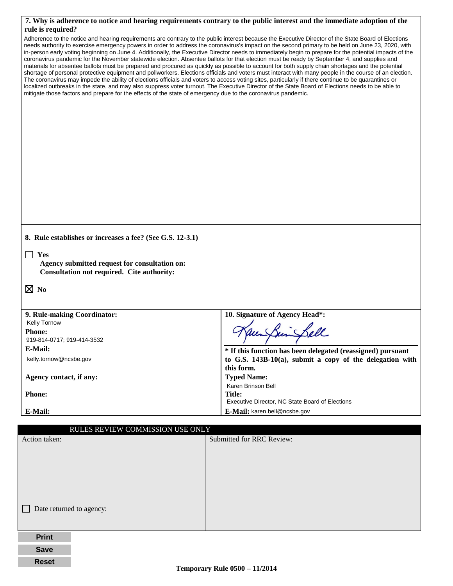|                                                                                                                                                                                                                                                                                                                                                                                                                                                                                                                                                                                                                                                                                                                               | 7. Why is adherence to notice and hearing requirements contrary to the public interest and the immediate adoption of the                                                                                                                                                                                                                                                                                                                                                                                                                                                                                                      |
|-------------------------------------------------------------------------------------------------------------------------------------------------------------------------------------------------------------------------------------------------------------------------------------------------------------------------------------------------------------------------------------------------------------------------------------------------------------------------------------------------------------------------------------------------------------------------------------------------------------------------------------------------------------------------------------------------------------------------------|-------------------------------------------------------------------------------------------------------------------------------------------------------------------------------------------------------------------------------------------------------------------------------------------------------------------------------------------------------------------------------------------------------------------------------------------------------------------------------------------------------------------------------------------------------------------------------------------------------------------------------|
| rule is required?                                                                                                                                                                                                                                                                                                                                                                                                                                                                                                                                                                                                                                                                                                             |                                                                                                                                                                                                                                                                                                                                                                                                                                                                                                                                                                                                                               |
| coronavirus pandemic for the November statewide election. Absentee ballots for that election must be ready by September 4, and supplies and<br>materials for absentee ballots must be prepared and procured as quickly as possible to account for both supply chain shortages and the potential<br>The coronavirus may impede the ability of elections officials and voters to access voting sites, particularly if there continue to be quarantines or<br>localized outbreaks in the state, and may also suppress voter turnout. The Executive Director of the State Board of Elections needs to be able to<br>mitigate those factors and prepare for the effects of the state of emergency due to the coronavirus pandemic. | Adherence to the notice and hearing requirements are contrary to the public interest because the Executive Director of the State Board of Elections<br>needs authority to exercise emergency powers in order to address the coronavirus's impact on the second primary to be held on June 23, 2020, with<br>in-person early voting beginning on June 4. Additionally, the Executive Director needs to immediately begin to prepare for the potential impacts of the<br>shortage of personal protective equipment and pollworkers. Elections officials and voters must interact with many people in the course of an election. |
|                                                                                                                                                                                                                                                                                                                                                                                                                                                                                                                                                                                                                                                                                                                               |                                                                                                                                                                                                                                                                                                                                                                                                                                                                                                                                                                                                                               |
|                                                                                                                                                                                                                                                                                                                                                                                                                                                                                                                                                                                                                                                                                                                               |                                                                                                                                                                                                                                                                                                                                                                                                                                                                                                                                                                                                                               |
|                                                                                                                                                                                                                                                                                                                                                                                                                                                                                                                                                                                                                                                                                                                               |                                                                                                                                                                                                                                                                                                                                                                                                                                                                                                                                                                                                                               |
|                                                                                                                                                                                                                                                                                                                                                                                                                                                                                                                                                                                                                                                                                                                               |                                                                                                                                                                                                                                                                                                                                                                                                                                                                                                                                                                                                                               |
|                                                                                                                                                                                                                                                                                                                                                                                                                                                                                                                                                                                                                                                                                                                               |                                                                                                                                                                                                                                                                                                                                                                                                                                                                                                                                                                                                                               |
|                                                                                                                                                                                                                                                                                                                                                                                                                                                                                                                                                                                                                                                                                                                               |                                                                                                                                                                                                                                                                                                                                                                                                                                                                                                                                                                                                                               |
|                                                                                                                                                                                                                                                                                                                                                                                                                                                                                                                                                                                                                                                                                                                               |                                                                                                                                                                                                                                                                                                                                                                                                                                                                                                                                                                                                                               |
|                                                                                                                                                                                                                                                                                                                                                                                                                                                                                                                                                                                                                                                                                                                               |                                                                                                                                                                                                                                                                                                                                                                                                                                                                                                                                                                                                                               |
|                                                                                                                                                                                                                                                                                                                                                                                                                                                                                                                                                                                                                                                                                                                               |                                                                                                                                                                                                                                                                                                                                                                                                                                                                                                                                                                                                                               |
|                                                                                                                                                                                                                                                                                                                                                                                                                                                                                                                                                                                                                                                                                                                               |                                                                                                                                                                                                                                                                                                                                                                                                                                                                                                                                                                                                                               |
|                                                                                                                                                                                                                                                                                                                                                                                                                                                                                                                                                                                                                                                                                                                               |                                                                                                                                                                                                                                                                                                                                                                                                                                                                                                                                                                                                                               |
| 8. Rule establishes or increases a fee? (See G.S. 12-3.1)                                                                                                                                                                                                                                                                                                                                                                                                                                                                                                                                                                                                                                                                     |                                                                                                                                                                                                                                                                                                                                                                                                                                                                                                                                                                                                                               |
|                                                                                                                                                                                                                                                                                                                                                                                                                                                                                                                                                                                                                                                                                                                               |                                                                                                                                                                                                                                                                                                                                                                                                                                                                                                                                                                                                                               |
| Yes                                                                                                                                                                                                                                                                                                                                                                                                                                                                                                                                                                                                                                                                                                                           |                                                                                                                                                                                                                                                                                                                                                                                                                                                                                                                                                                                                                               |
| Agency submitted request for consultation on:<br>Consultation not required. Cite authority:                                                                                                                                                                                                                                                                                                                                                                                                                                                                                                                                                                                                                                   |                                                                                                                                                                                                                                                                                                                                                                                                                                                                                                                                                                                                                               |
|                                                                                                                                                                                                                                                                                                                                                                                                                                                                                                                                                                                                                                                                                                                               |                                                                                                                                                                                                                                                                                                                                                                                                                                                                                                                                                                                                                               |
| $\boxtimes$ No                                                                                                                                                                                                                                                                                                                                                                                                                                                                                                                                                                                                                                                                                                                |                                                                                                                                                                                                                                                                                                                                                                                                                                                                                                                                                                                                                               |
|                                                                                                                                                                                                                                                                                                                                                                                                                                                                                                                                                                                                                                                                                                                               |                                                                                                                                                                                                                                                                                                                                                                                                                                                                                                                                                                                                                               |
|                                                                                                                                                                                                                                                                                                                                                                                                                                                                                                                                                                                                                                                                                                                               |                                                                                                                                                                                                                                                                                                                                                                                                                                                                                                                                                                                                                               |
| 9. Rule-making Coordinator:<br>Kelly Tornow                                                                                                                                                                                                                                                                                                                                                                                                                                                                                                                                                                                                                                                                                   | 10. Signature of Agency Head*:                                                                                                                                                                                                                                                                                                                                                                                                                                                                                                                                                                                                |
| <b>Phone:</b>                                                                                                                                                                                                                                                                                                                                                                                                                                                                                                                                                                                                                                                                                                                 |                                                                                                                                                                                                                                                                                                                                                                                                                                                                                                                                                                                                                               |
| 919-814-0717; 919-414-3532                                                                                                                                                                                                                                                                                                                                                                                                                                                                                                                                                                                                                                                                                                    |                                                                                                                                                                                                                                                                                                                                                                                                                                                                                                                                                                                                                               |
| E-Mail:                                                                                                                                                                                                                                                                                                                                                                                                                                                                                                                                                                                                                                                                                                                       | * If this function has been delegated (reassigned) pursuant                                                                                                                                                                                                                                                                                                                                                                                                                                                                                                                                                                   |
| kelly.tornow@ncsbe.gov                                                                                                                                                                                                                                                                                                                                                                                                                                                                                                                                                                                                                                                                                                        | to G.S. $143B-10(a)$ , submit a copy of the delegation with                                                                                                                                                                                                                                                                                                                                                                                                                                                                                                                                                                   |
|                                                                                                                                                                                                                                                                                                                                                                                                                                                                                                                                                                                                                                                                                                                               | this form.                                                                                                                                                                                                                                                                                                                                                                                                                                                                                                                                                                                                                    |
| Agency contact, if any:                                                                                                                                                                                                                                                                                                                                                                                                                                                                                                                                                                                                                                                                                                       | <b>Typed Name:</b>                                                                                                                                                                                                                                                                                                                                                                                                                                                                                                                                                                                                            |
| <b>Phone:</b>                                                                                                                                                                                                                                                                                                                                                                                                                                                                                                                                                                                                                                                                                                                 | Karen Brinson Bell<br><b>Title:</b>                                                                                                                                                                                                                                                                                                                                                                                                                                                                                                                                                                                           |
|                                                                                                                                                                                                                                                                                                                                                                                                                                                                                                                                                                                                                                                                                                                               | Executive Director, NC State Board of Elections                                                                                                                                                                                                                                                                                                                                                                                                                                                                                                                                                                               |
| E-Mail:                                                                                                                                                                                                                                                                                                                                                                                                                                                                                                                                                                                                                                                                                                                       | E-Mail: karen.bell@ncsbe.gov                                                                                                                                                                                                                                                                                                                                                                                                                                                                                                                                                                                                  |
|                                                                                                                                                                                                                                                                                                                                                                                                                                                                                                                                                                                                                                                                                                                               |                                                                                                                                                                                                                                                                                                                                                                                                                                                                                                                                                                                                                               |
| RULES REVIEW COMMISSION USE ONLY                                                                                                                                                                                                                                                                                                                                                                                                                                                                                                                                                                                                                                                                                              |                                                                                                                                                                                                                                                                                                                                                                                                                                                                                                                                                                                                                               |
| Action taken:                                                                                                                                                                                                                                                                                                                                                                                                                                                                                                                                                                                                                                                                                                                 | Submitted for RRC Review:                                                                                                                                                                                                                                                                                                                                                                                                                                                                                                                                                                                                     |
|                                                                                                                                                                                                                                                                                                                                                                                                                                                                                                                                                                                                                                                                                                                               |                                                                                                                                                                                                                                                                                                                                                                                                                                                                                                                                                                                                                               |
|                                                                                                                                                                                                                                                                                                                                                                                                                                                                                                                                                                                                                                                                                                                               |                                                                                                                                                                                                                                                                                                                                                                                                                                                                                                                                                                                                                               |
|                                                                                                                                                                                                                                                                                                                                                                                                                                                                                                                                                                                                                                                                                                                               |                                                                                                                                                                                                                                                                                                                                                                                                                                                                                                                                                                                                                               |
|                                                                                                                                                                                                                                                                                                                                                                                                                                                                                                                                                                                                                                                                                                                               |                                                                                                                                                                                                                                                                                                                                                                                                                                                                                                                                                                                                                               |
|                                                                                                                                                                                                                                                                                                                                                                                                                                                                                                                                                                                                                                                                                                                               |                                                                                                                                                                                                                                                                                                                                                                                                                                                                                                                                                                                                                               |
|                                                                                                                                                                                                                                                                                                                                                                                                                                                                                                                                                                                                                                                                                                                               |                                                                                                                                                                                                                                                                                                                                                                                                                                                                                                                                                                                                                               |
| Date returned to agency:                                                                                                                                                                                                                                                                                                                                                                                                                                                                                                                                                                                                                                                                                                      |                                                                                                                                                                                                                                                                                                                                                                                                                                                                                                                                                                                                                               |
|                                                                                                                                                                                                                                                                                                                                                                                                                                                                                                                                                                                                                                                                                                                               |                                                                                                                                                                                                                                                                                                                                                                                                                                                                                                                                                                                                                               |
|                                                                                                                                                                                                                                                                                                                                                                                                                                                                                                                                                                                                                                                                                                                               |                                                                                                                                                                                                                                                                                                                                                                                                                                                                                                                                                                                                                               |
|                                                                                                                                                                                                                                                                                                                                                                                                                                                                                                                                                                                                                                                                                                                               |                                                                                                                                                                                                                                                                                                                                                                                                                                                                                                                                                                                                                               |
| <b>Print</b>                                                                                                                                                                                                                                                                                                                                                                                                                                                                                                                                                                                                                                                                                                                  |                                                                                                                                                                                                                                                                                                                                                                                                                                                                                                                                                                                                                               |

2 **Reset**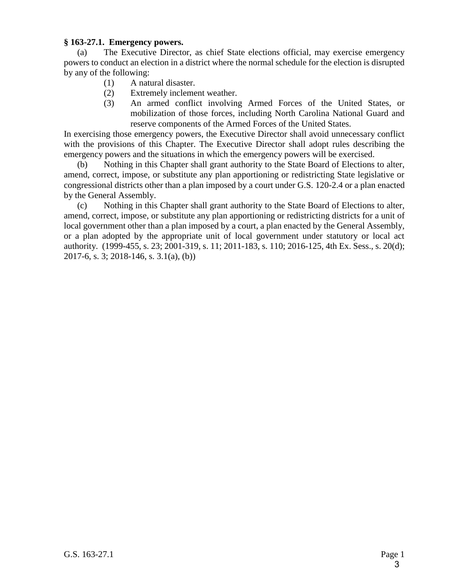## **§ 163-27.1. Emergency powers.**

(a) The Executive Director, as chief State elections official, may exercise emergency powers to conduct an election in a district where the normal schedule for the election is disrupted by any of the following:

- (1) A natural disaster.
- (2) Extremely inclement weather.
- (3) An armed conflict involving Armed Forces of the United States, or mobilization of those forces, including North Carolina National Guard and reserve components of the Armed Forces of the United States.

In exercising those emergency powers, the Executive Director shall avoid unnecessary conflict with the provisions of this Chapter. The Executive Director shall adopt rules describing the emergency powers and the situations in which the emergency powers will be exercised.

(b) Nothing in this Chapter shall grant authority to the State Board of Elections to alter, amend, correct, impose, or substitute any plan apportioning or redistricting State legislative or congressional districts other than a plan imposed by a court under G.S. 120-2.4 or a plan enacted by the General Assembly.

(c) Nothing in this Chapter shall grant authority to the State Board of Elections to alter, amend, correct, impose, or substitute any plan apportioning or redistricting districts for a unit of local government other than a plan imposed by a court, a plan enacted by the General Assembly, or a plan adopted by the appropriate unit of local government under statutory or local act authority. (1999-455, s. 23; 2001-319, s. 11; 2011-183, s. 110; 2016-125, 4th Ex. Sess., s. 20(d); 2017-6, s. 3; 2018-146, s. 3.1(a), (b))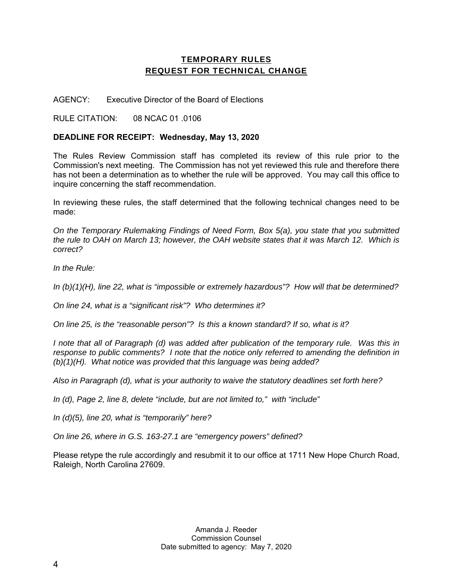## TEMPORARY RULES REQUEST FOR TECHNICAL CHANGE

AGENCY: Executive Director of the Board of Elections

RULE CITATION: 08 NCAC 01 .0106

## **DEADLINE FOR RECEIPT: Wednesday, May 13, 2020**

The Rules Review Commission staff has completed its review of this rule prior to the Commission's next meeting. The Commission has not yet reviewed this rule and therefore there has not been a determination as to whether the rule will be approved. You may call this office to inquire concerning the staff recommendation.

In reviewing these rules, the staff determined that the following technical changes need to be made:

*On the Temporary Rulemaking Findings of Need Form, Box 5(a), you state that you submitted the rule to OAH on March 13; however, the OAH website states that it was March 12. Which is correct?* 

*In the Rule:* 

*In (b)(1)(H), line 22, what is "impossible or extremely hazardous"? How will that be determined?* 

*On line 24, what is a "significant risk"? Who determines it?* 

*On line 25, is the "reasonable person"? Is this a known standard? If so, what is it?* 

*I* note that all of Paragraph (d) was added after publication of the temporary rule. Was this in *response to public comments? I note that the notice only referred to amending the definition in (b)(1)(H). What notice was provided that this language was being added?* 

*Also in Paragraph (d), what is your authority to waive the statutory deadlines set forth here?* 

*In (d), Page 2, line 8, delete "include, but are not limited to," with "include"* 

*In (d)(5), line 20, what is "temporarily" here?* 

*On line 26, where in G.S. 163-27.1 are "emergency powers" defined?* 

Please retype the rule accordingly and resubmit it to our office at 1711 New Hope Church Road, Raleigh, North Carolina 27609.

> Amanda J. Reeder Commission Counsel Date submitted to agency: May 7, 2020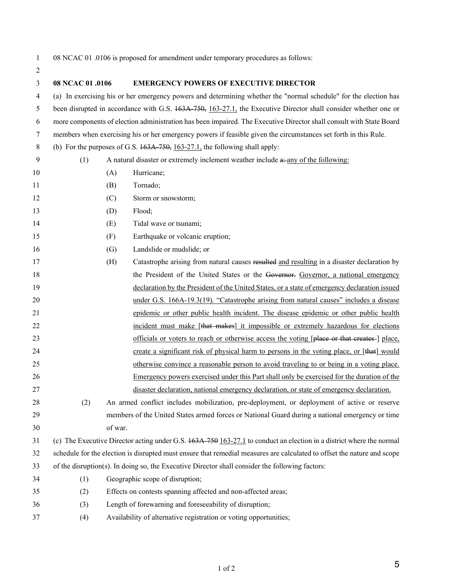2

1 08 NCAC 01 .0106 is proposed for amendment under temporary procedures as follows:

| 3  | 08 NCAC 01 .0106 | <b>EMERGENCY POWERS OF EXECUTIVE DIRECTOR</b>                                                                             |  |  |  |  |  |
|----|------------------|---------------------------------------------------------------------------------------------------------------------------|--|--|--|--|--|
| 4  |                  | (a) In exercising his or her emergency powers and determining whether the "normal schedule" for the election has          |  |  |  |  |  |
| 5  |                  | been disrupted in accordance with G.S. 163A 750, 163-27.1, the Executive Director shall consider whether one or           |  |  |  |  |  |
| 6  |                  | more components of election administration has been impaired. The Executive Director shall consult with State Board       |  |  |  |  |  |
| 7  |                  | members when exercising his or her emergency powers if feasible given the circumstances set forth in this Rule.           |  |  |  |  |  |
| 8  |                  | (b) For the purposes of G.S. $163A$ , $750$ , $163-27.1$ , the following shall apply:                                     |  |  |  |  |  |
| 9  | (1)              | A natural disaster or extremely inclement weather include a: any of the following:                                        |  |  |  |  |  |
| 10 |                  | Hurricane;<br>(A)                                                                                                         |  |  |  |  |  |
| 11 |                  | Tornado;<br>(B)                                                                                                           |  |  |  |  |  |
| 12 |                  | (C)<br>Storm or snowstorm;                                                                                                |  |  |  |  |  |
| 13 |                  | Flood;<br>(D)                                                                                                             |  |  |  |  |  |
| 14 |                  | Tidal wave or tsunami;<br>(E)                                                                                             |  |  |  |  |  |
| 15 |                  | Earthquake or volcanic eruption;<br>(F)                                                                                   |  |  |  |  |  |
| 16 |                  | (G)<br>Landslide or mudslide; or                                                                                          |  |  |  |  |  |
| 17 |                  | (H)<br>Catastrophe arising from natural causes resulted and resulting in a disaster declaration by                        |  |  |  |  |  |
| 18 |                  | the President of the United States or the Governor. Governor, a national emergency                                        |  |  |  |  |  |
| 19 |                  | declaration by the President of the United States, or a state of emergency declaration issued                             |  |  |  |  |  |
| 20 |                  | under G.S. 166A-19.3(19). "Catastrophe arising from natural causes" includes a disease                                    |  |  |  |  |  |
| 21 |                  | epidemic or other public health incident. The disease epidemic or other public health                                     |  |  |  |  |  |
| 22 |                  | incident must make [that makes] it impossible or extremely hazardous for elections                                        |  |  |  |  |  |
| 23 |                  | officials or voters to reach or otherwise access the voting [place or that creates-] place,                               |  |  |  |  |  |
| 24 |                  | create a significant risk of physical harm to persons in the voting place, or [that] would                                |  |  |  |  |  |
| 25 |                  | otherwise convince a reasonable person to avoid traveling to or being in a voting place.                                  |  |  |  |  |  |
| 26 |                  | Emergency powers exercised under this Part shall only be exercised for the duration of the                                |  |  |  |  |  |
| 27 |                  | disaster declaration, national emergency declaration, or state of emergency declaration.                                  |  |  |  |  |  |
| 28 | (2)              | An armed conflict includes mobilization, pre-deployment, or deployment of active or reserve                               |  |  |  |  |  |
| 29 |                  | members of the United States armed forces or National Guard during a national emergency or time                           |  |  |  |  |  |
| 30 |                  | of war.                                                                                                                   |  |  |  |  |  |
| 31 |                  | (c) The Executive Director acting under G.S. $163A - 759163 - 27.1$ to conduct an election in a district where the normal |  |  |  |  |  |
| 32 |                  | schedule for the election is disrupted must ensure that remedial measures are calculated to offset the nature and scope   |  |  |  |  |  |
| 33 |                  | of the disruption(s). In doing so, the Executive Director shall consider the following factors:                           |  |  |  |  |  |
| 34 | (1)              | Geographic scope of disruption;                                                                                           |  |  |  |  |  |
| 35 | (2)              | Effects on contests spanning affected and non-affected areas;                                                             |  |  |  |  |  |
| 36 | (3)              | Length of forewarning and foreseeability of disruption;                                                                   |  |  |  |  |  |
| 37 | (4)              | Availability of alternative registration or voting opportunities;                                                         |  |  |  |  |  |

5